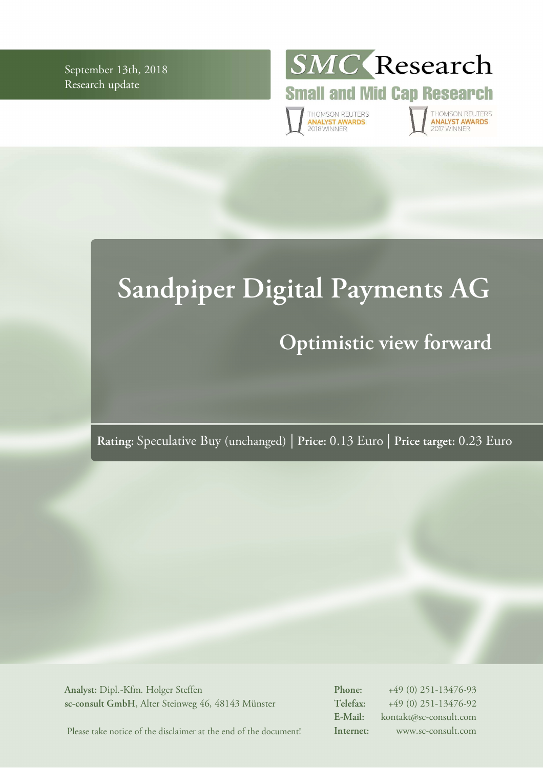September 13th, 2018 Research update



THOMSON REUTERS<br>**ANALYST AWARDS**<br>2018 WINNER

THOMSON REUTERS<br>**ANALYST AWARDS**<br>2017 WINNER

# **Sandpiper Digital Payments AG Optimistic view forward**

**Rating:** Speculative Buy (unchanged) | **Price:** 0.13 Euro | **Price target:** 0.23 Euro

**Analyst:** Dipl.-Kfm. Holger Steffen **sc-consult GmbH**, Alter Steinweg 46, 48143 Münster **Phone:** +49 (0) 251-13476-93 **Telefax:** +49 (0) 251-13476-92 **E-Mail:** kontakt@sc-consult.com **Internet:** www.sc-consult.com

Please take notice of the disclaimer at the end of the document!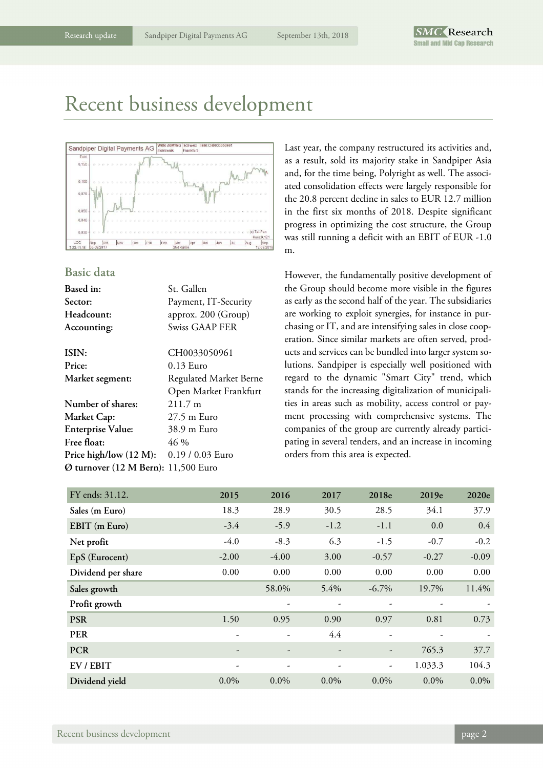### Recent business development



### **Basic data**

| <b>Based</b> in:                    | St. Gallen             |
|-------------------------------------|------------------------|
| <b>Sector:</b>                      | Payment, IT-Security   |
| Headcount:                          | approx. 200 (Group)    |
| Accounting:                         | <b>Swiss GAAP FER</b>  |
| ISIN:                               | CH0033050961           |
| Price:                              | $0.13$ Euro            |
| <b>Market segment:</b>              | Regulated Market Berne |
|                                     | Open Market Frankfurt  |
| Number of shares:                   | $211.7 \text{ m}$      |
| Market Cap:                         | $27.5 \text{ m}$ Euro  |
| <b>Enterprise Value:</b>            | 38.9 m Euro            |
| Free float:                         | 46 %                   |
| Price high/low (12 M):              | 0.19 / 0.03 Euro       |
| Ø turnover (12 M Bern): 11,500 Euro |                        |
|                                     |                        |

Last year, the company restructured its activities and, as a result, sold its majority stake in Sandpiper Asia and, for the time being, Polyright as well. The associated consolidation effects were largely responsible for the 20.8 percent decline in sales to EUR 12.7 million in the first six months of 2018. Despite significant progress in optimizing the cost structure, the Group was still running a deficit with an EBIT of EUR -1.0 m.

However, the fundamentally positive development of the Group should become more visible in the figures as early as the second half of the year. The subsidiaries are working to exploit synergies, for instance in purchasing or IT, and are intensifying sales in close cooperation. Since similar markets are often served, products and services can be bundled into larger system solutions. Sandpiper is especially well positioned with regard to the dynamic "Smart City" trend, which stands for the increasing digitalization of municipalities in areas such as mobility, access control or payment processing with comprehensive systems. The companies of the group are currently already participating in several tenders, and an increase in incoming orders from this area is expected.

| FY ends: 31.12.    | 2015    | 2016                     | 2017    | 2018e                    | 2019e   | 2020e   |
|--------------------|---------|--------------------------|---------|--------------------------|---------|---------|
| Sales (m Euro)     | 18.3    | 28.9                     | 30.5    | 28.5                     | 34.1    | 37.9    |
| EBIT (m Euro)      | $-3.4$  | $-5.9$                   | $-1.2$  | $-1.1$                   | 0.0     | 0.4     |
| Net profit         | $-4.0$  | $-8.3$                   | 6.3     | $-1.5$                   | $-0.7$  | $-0.2$  |
| EpS (Eurocent)     | $-2.00$ | $-4.00$                  | 3.00    | $-0.57$                  | $-0.27$ | $-0.09$ |
| Dividend per share | 0.00    | 0.00                     | 0.00    | 0.00                     | 0.00    | 0.00    |
| Sales growth       |         | 58.0%                    | 5.4%    | $-6.7\%$                 | 19.7%   | 11.4%   |
| Profit growth      |         | $\overline{\phantom{0}}$ |         |                          |         |         |
| <b>PSR</b>         | 1.50    | 0.95                     | 0.90    | 0.97                     | 0.81    | 0.73    |
| <b>PER</b>         |         |                          | 4.4     |                          |         |         |
| <b>PCR</b>         |         |                          |         | $\overline{\phantom{a}}$ | 765.3   | 37.7    |
| EV / EBIT          |         |                          |         | $\overline{\phantom{a}}$ | 1.033.3 | 104.3   |
| Dividend yield     | $0.0\%$ | $0.0\%$                  | $0.0\%$ | $0.0\%$                  | $0.0\%$ | $0.0\%$ |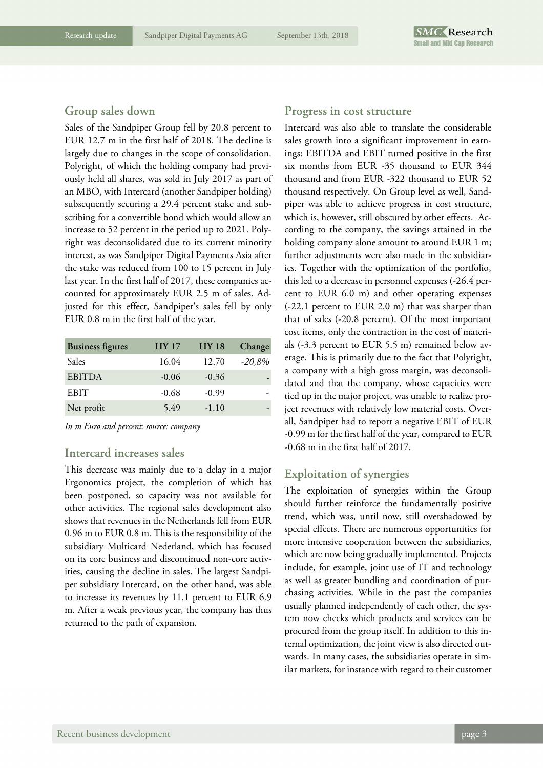### **Group sales down**

Sales of the Sandpiper Group fell by 20.8 percent to EUR 12.7 m in the first half of 2018. The decline is largely due to changes in the scope of consolidation. Polyright, of which the holding company had previously held all shares, was sold in July 2017 as part of an MBO, with Intercard (another Sandpiper holding) subsequently securing a 29.4 percent stake and subscribing for a convertible bond which would allow an increase to 52 percent in the period up to 2021. Polyright was deconsolidated due to its current minority interest, as was Sandpiper Digital Payments Asia after the stake was reduced from 100 to 15 percent in July last year. In the first half of 2017, these companies accounted for approximately EUR 2.5 m of sales. Adjusted for this effect, Sandpiper's sales fell by only EUR 0.8 m in the first half of the year.

| <b>Business figures</b> | <b>HY 17</b> | <b>HY 18</b> | Change   |
|-------------------------|--------------|--------------|----------|
| Sales                   | 16.04        | 12.70        | $-20,8%$ |
| <b>EBITDA</b>           | $-0.06$      | $-0.36$      |          |
| <b>EBIT</b>             | $-0.68$      | $-0.99$      |          |
| Net profit              | 5.49         | $-1.10$      |          |

*In m Euro and percent; source: company* 

### **Intercard increases sales**

This decrease was mainly due to a delay in a major Ergonomics project, the completion of which has been postponed, so capacity was not available for other activities. The regional sales development also shows that revenues in the Netherlands fell from EUR 0.96 m to EUR 0.8 m. This is the responsibility of the subsidiary Multicard Nederland, which has focused on its core business and discontinued non-core activities, causing the decline in sales. The largest Sandpiper subsidiary Intercard, on the other hand, was able to increase its revenues by 11.1 percent to EUR 6.9 m. After a weak previous year, the company has thus returned to the path of expansion.

### **Progress in cost structure**

Intercard was also able to translate the considerable sales growth into a significant improvement in earnings: EBITDA and EBIT turned positive in the first six months from EUR -35 thousand to EUR 344 thousand and from EUR -322 thousand to EUR 52 thousand respectively. On Group level as well, Sandpiper was able to achieve progress in cost structure, which is, however, still obscured by other effects. According to the company, the savings attained in the holding company alone amount to around EUR 1 m; further adjustments were also made in the subsidiaries. Together with the optimization of the portfolio, this led to a decrease in personnel expenses (-26.4 percent to EUR 6.0 m) and other operating expenses (-22.1 percent to EUR 2.0 m) that was sharper than that of sales (-20.8 percent). Of the most important cost items, only the contraction in the cost of materials (-3.3 percent to EUR 5.5 m) remained below average. This is primarily due to the fact that Polyright, a company with a high gross margin, was deconsolidated and that the company, whose capacities were tied up in the major project, was unable to realize project revenues with relatively low material costs. Overall, Sandpiper had to report a negative EBIT of EUR -0.99 m for the first half of the year, compared to EUR -0.68 m in the first half of 2017.

### **Exploitation of synergies**

The exploitation of synergies within the Group should further reinforce the fundamentally positive trend, which was, until now, still overshadowed by special effects. There are numerous opportunities for more intensive cooperation between the subsidiaries, which are now being gradually implemented. Projects include, for example, joint use of IT and technology as well as greater bundling and coordination of purchasing activities. While in the past the companies usually planned independently of each other, the system now checks which products and services can be procured from the group itself. In addition to this internal optimization, the joint view is also directed outwards. In many cases, the subsidiaries operate in similar markets, for instance with regard to their customer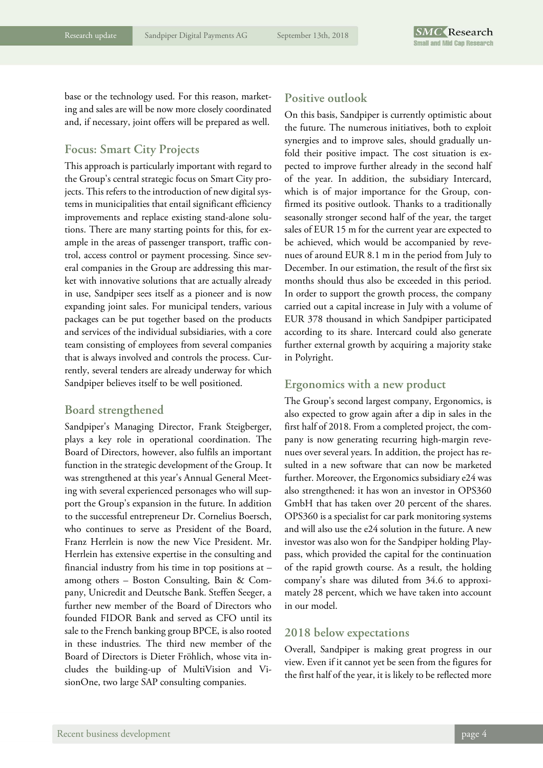base or the technology used. For this reason, marketing and sales are will be now more closely coordinated and, if necessary, joint offers will be prepared as well.

### **Focus: Smart City Projects**

This approach is particularly important with regard to the Group's central strategic focus on Smart City projects. This refers to the introduction of new digital systems in municipalities that entail significant efficiency improvements and replace existing stand-alone solutions. There are many starting points for this, for example in the areas of passenger transport, traffic control, access control or payment processing. Since several companies in the Group are addressing this market with innovative solutions that are actually already in use, Sandpiper sees itself as a pioneer and is now expanding joint sales. For municipal tenders, various packages can be put together based on the products and services of the individual subsidiaries, with a core team consisting of employees from several companies that is always involved and controls the process. Currently, several tenders are already underway for which Sandpiper believes itself to be well positioned.

### **Board strengthened**

Sandpiper's Managing Director, Frank Steigberger, plays a key role in operational coordination. The Board of Directors, however, also fulfils an important function in the strategic development of the Group. It was strengthened at this year's Annual General Meeting with several experienced personages who will support the Group's expansion in the future. In addition to the successful entrepreneur Dr. Cornelius Boersch, who continues to serve as President of the Board, Franz Herrlein is now the new Vice President. Mr. Herrlein has extensive expertise in the consulting and financial industry from his time in top positions at – among others – Boston Consulting, Bain & Company, Unicredit and Deutsche Bank. Steffen Seeger, a further new member of the Board of Directors who founded FIDOR Bank and served as CFO until its sale to the French banking group BPCE, is also rooted in these industries. The third new member of the Board of Directors is Dieter Fröhlich, whose vita includes the building-up of MultiVision and VisionOne, two large SAP consulting companies.

### **Positive outlook**

On this basis, Sandpiper is currently optimistic about the future. The numerous initiatives, both to exploit synergies and to improve sales, should gradually unfold their positive impact. The cost situation is expected to improve further already in the second half of the year. In addition, the subsidiary Intercard, which is of major importance for the Group, confirmed its positive outlook. Thanks to a traditionally seasonally stronger second half of the year, the target sales of EUR 15 m for the current year are expected to be achieved, which would be accompanied by revenues of around EUR 8.1 m in the period from July to December. In our estimation, the result of the first six months should thus also be exceeded in this period. In order to support the growth process, the company carried out a capital increase in July with a volume of EUR 378 thousand in which Sandpiper participated according to its share. Intercard could also generate further external growth by acquiring a majority stake in Polyright.

### **Ergonomics with a new product**

The Group's second largest company, Ergonomics, is also expected to grow again after a dip in sales in the first half of 2018. From a completed project, the company is now generating recurring high-margin revenues over several years. In addition, the project has resulted in a new software that can now be marketed further. Moreover, the Ergonomics subsidiary e24 was also strengthened: it has won an investor in OPS360 GmbH that has taken over 20 percent of the shares. OPS360 is a specialist for car park monitoring systems and will also use the e24 solution in the future. A new investor was also won for the Sandpiper holding Playpass, which provided the capital for the continuation of the rapid growth course. As a result, the holding company's share was diluted from 34.6 to approximately 28 percent, which we have taken into account in our model.

### **2018 below expectations**

Overall, Sandpiper is making great progress in our view. Even if it cannot yet be seen from the figures for the first half of the year, it is likely to be reflected more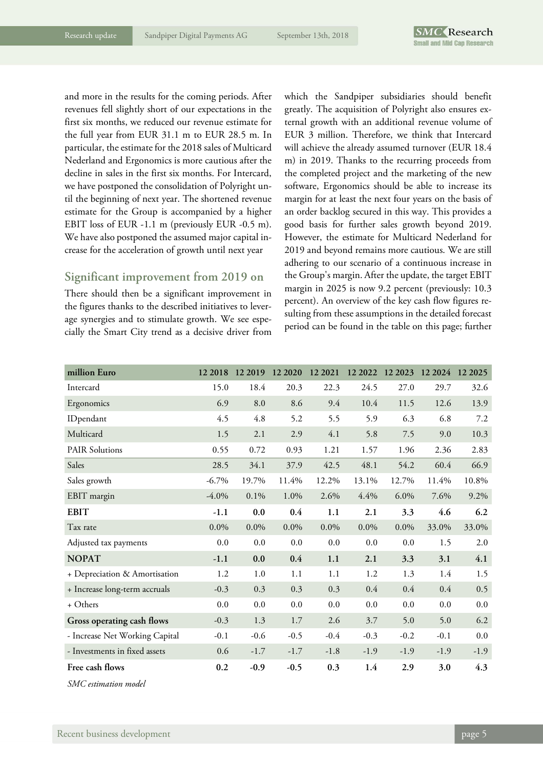and more in the results for the coming periods. After revenues fell slightly short of our expectations in the first six months, we reduced our revenue estimate for the full year from EUR 31.1 m to EUR 28.5 m. In particular, the estimate for the 2018 sales of Multicard Nederland and Ergonomics is more cautious after the decline in sales in the first six months. For Intercard, we have postponed the consolidation of Polyright until the beginning of next year. The shortened revenue estimate for the Group is accompanied by a higher EBIT loss of EUR -1.1 m (previously EUR -0.5 m). We have also postponed the assumed major capital increase for the acceleration of growth until next year

### **Significant improvement from 2019 on**

There should then be a significant improvement in the figures thanks to the described initiatives to leverage synergies and to stimulate growth. We see especially the Smart City trend as a decisive driver from

which the Sandpiper subsidiaries should benefit greatly. The acquisition of Polyright also ensures external growth with an additional revenue volume of EUR 3 million. Therefore, we think that Intercard will achieve the already assumed turnover (EUR 18.4 m) in 2019. Thanks to the recurring proceeds from the completed project and the marketing of the new software, Ergonomics should be able to increase its margin for at least the next four years on the basis of an order backlog secured in this way. This provides a good basis for further sales growth beyond 2019. However, the estimate for Multicard Nederland for 2019 and beyond remains more cautious. We are still adhering to our scenario of a continuous increase in the Group's margin. After the update, the target EBIT margin in 2025 is now 9.2 percent (previously: 10.3 percent). An overview of the key cash flow figures resulting from these assumptions in the detailed forecast period can be found in the table on this page; further

| million Euro                   | 12 2018  | 12 2019 | 12 20 20 | 12 2021 | 12 2022 | 12 2023 12 2024 |        | 12 20 25 |
|--------------------------------|----------|---------|----------|---------|---------|-----------------|--------|----------|
| Intercard                      | 15.0     | 18.4    | 20.3     | 22.3    | 24.5    | 27.0            | 29.7   | 32.6     |
| Ergonomics                     | 6.9      | 8.0     | 8.6      | 9.4     | 10.4    | 11.5            | 12.6   | 13.9     |
| IDpendant                      | 4.5      | 4.8     | 5.2      | 5.5     | 5.9     | 6.3             | 6.8    | 7.2      |
| Multicard                      | 1.5      | 2.1     | 2.9      | 4.1     | 5.8     | 7.5             | 9.0    | 10.3     |
| <b>PAIR Solutions</b>          | 0.55     | 0.72    | 0.93     | 1.21    | 1.57    | 1.96            | 2.36   | 2.83     |
| Sales                          | 28.5     | 34.1    | 37.9     | 42.5    | 48.1    | 54.2            | 60.4   | 66.9     |
| Sales growth                   | $-6.7\%$ | 19.7%   | 11.4%    | 12.2%   | 13.1%   | 12.7%           | 11.4%  | 10.8%    |
| EBIT margin                    | $-4.0\%$ | 0.1%    | 1.0%     | 2.6%    | 4.4%    | 6.0%            | 7.6%   | 9.2%     |
| <b>EBIT</b>                    | $-1.1$   | 0.0     | 0.4      | 1.1     | 2.1     | 3.3             | 4.6    | 6.2      |
| Tax rate                       | $0.0\%$  | $0.0\%$ | $0.0\%$  | $0.0\%$ | $0.0\%$ | $0.0\%$         | 33.0%  | 33.0%    |
| Adjusted tax payments          | 0.0      | 0.0     | 0.0      | 0.0     | 0.0     | 0.0             | 1.5    | 2.0      |
| <b>NOPAT</b>                   | $-1.1$   | 0.0     | 0.4      | 1.1     | 2.1     | 3.3             | 3.1    | 4.1      |
| + Depreciation & Amortisation  | 1.2      | 1.0     | 1.1      | 1.1     | 1.2     | 1.3             | 1.4    | 1.5      |
| + Increase long-term accruals  | $-0.3$   | 0.3     | 0.3      | 0.3     | 0.4     | 0.4             | 0.4    | 0.5      |
| + Others                       | 0.0      | 0.0     | $0.0\,$  | $0.0\,$ | 0.0     | 0.0             | 0.0    | 0.0      |
| Gross operating cash flows     | $-0.3$   | 1.3     | 1.7      | 2.6     | 3.7     | 5.0             | 5.0    | 6.2      |
| - Increase Net Working Capital | $-0.1$   | $-0.6$  | $-0.5$   | $-0.4$  | $-0.3$  | $-0.2$          | $-0.1$ | 0.0      |
| - Investments in fixed assets  | 0.6      | $-1.7$  | $-1.7$   | $-1.8$  | $-1.9$  | $-1.9$          | $-1.9$ | $-1.9$   |
| Free cash flows                | 0.2      | $-0.9$  | $-0.5$   | 0.3     | 1.4     | 2.9             | 3.0    | 4.3      |
| SMC estimation model           |          |         |          |         |         |                 |        |          |

Recent business development **page 5**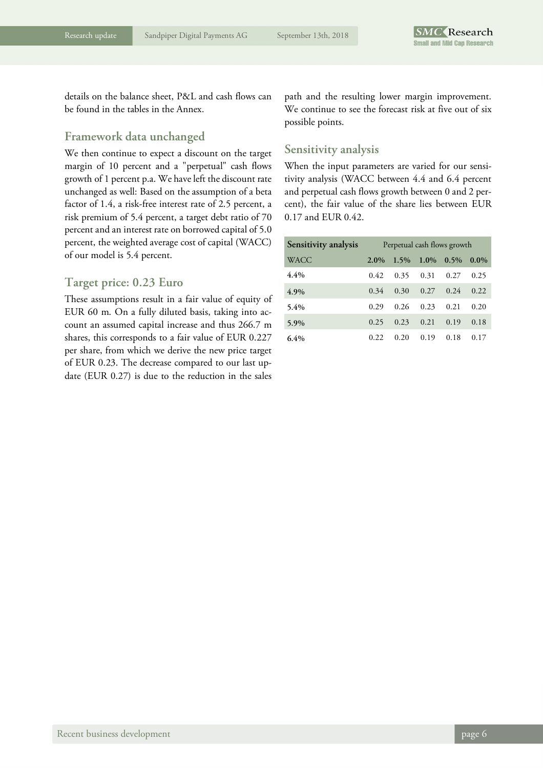details on the balance sheet, P&L and cash flows can be found in the tables in the Annex.

### **Framework data unchanged**

We then continue to expect a discount on the target margin of 10 percent and a "perpetual" cash flows growth of 1 percent p.a. We have left the discount rate unchanged as well: Based on the assumption of a beta factor of 1.4, a risk-free interest rate of 2.5 percent, a risk premium of 5.4 percent, a target debt ratio of 70 percent and an interest rate on borrowed capital of 5.0 percent, the weighted average cost of capital (WACC) of our model is 5.4 percent.

### **Target price: 0.23 Euro**

These assumptions result in a fair value of equity of EUR 60 m. On a fully diluted basis, taking into account an assumed capital increase and thus 266.7 m shares, this corresponds to a fair value of EUR 0.227 per share, from which we derive the new price target of EUR 0.23. The decrease compared to our last update (EUR 0.27) is due to the reduction in the sales

path and the resulting lower margin improvement. We continue to see the forecast risk at five out of six possible points.

### **Sensitivity analysis**

When the input parameters are varied for our sensitivity analysis (WACC between 4.4 and 6.4 percent and perpetual cash flows growth between 0 and 2 percent), the fair value of the share lies between EUR 0.17 and EUR 0.42.

| Sensitivity analysis | Perpetual cash flows growth |         |         |         |         |  |
|----------------------|-----------------------------|---------|---------|---------|---------|--|
| <b>WACC</b>          | $2.0\%$                     | $1.5\%$ | $1.0\%$ | $0.5\%$ | $0.0\%$ |  |
| $4.4\%$              | 0.42                        | 0.35    | 0.31    | 0.27    | 0.25    |  |
| 4.9%                 | 0.34                        | 0.30    | 0.27    | 0.24    | 0.22    |  |
| $5.4\%$              | 0.29                        | 0.26    | 0.23    | 0.21    | 0.20    |  |
| 5.9%                 | 0.25                        | 0.23    | 0.21    | 0.19    | 0.18    |  |
| 6.4%                 | 0.22                        | 0.20    | 0.19    | 0.18    | 0.17    |  |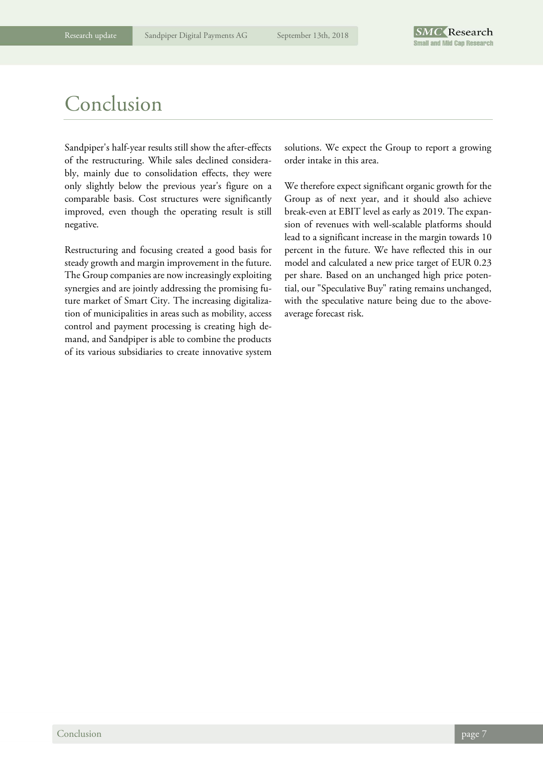### Conclusion

Sandpiper's half-year results still show the after-effects of the restructuring. While sales declined considerably, mainly due to consolidation effects, they were only slightly below the previous year's figure on a comparable basis. Cost structures were significantly improved, even though the operating result is still negative.

Restructuring and focusing created a good basis for steady growth and margin improvement in the future. The Group companies are now increasingly exploiting synergies and are jointly addressing the promising future market of Smart City. The increasing digitalization of municipalities in areas such as mobility, access control and payment processing is creating high demand, and Sandpiper is able to combine the products of its various subsidiaries to create innovative system solutions. We expect the Group to report a growing order intake in this area.

We therefore expect significant organic growth for the Group as of next year, and it should also achieve break-even at EBIT level as early as 2019. The expansion of revenues with well-scalable platforms should lead to a significant increase in the margin towards 10 percent in the future. We have reflected this in our model and calculated a new price target of EUR 0.23 per share. Based on an unchanged high price potential, our "Speculative Buy" rating remains unchanged, with the speculative nature being due to the aboveaverage forecast risk.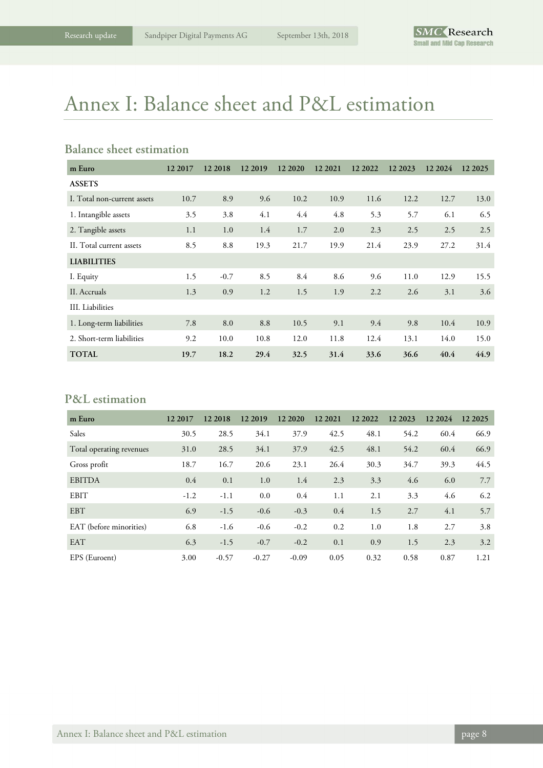## Annex I: Balance sheet and P&L estimation

### **Balance sheet estimation**

| m Euro                      | 12 2017 | 12 2018 | 12 2019 | 12 20 20 | 12 2021 | 12 2022 | 12 2023 | 12 2024 | 12 2025 |
|-----------------------------|---------|---------|---------|----------|---------|---------|---------|---------|---------|
| <b>ASSETS</b>               |         |         |         |          |         |         |         |         |         |
| I. Total non-current assets | 10.7    | 8.9     | 9.6     | 10.2     | 10.9    | 11.6    | 12.2    | 12.7    | 13.0    |
| 1. Intangible assets        | 3.5     | 3.8     | 4.1     | 4.4      | 4.8     | 5.3     | 5.7     | 6.1     | 6.5     |
| 2. Tangible assets          | 1.1     | 1.0     | 1.4     | 1.7      | 2.0     | 2.3     | 2.5     | 2.5     | 2.5     |
| II. Total current assets    | 8.5     | 8.8     | 19.3    | 21.7     | 19.9    | 21.4    | 23.9    | 27.2    | 31.4    |
| <b>LIABILITIES</b>          |         |         |         |          |         |         |         |         |         |
| I. Equity                   | 1.5     | $-0.7$  | 8.5     | 8.4      | 8.6     | 9.6     | 11.0    | 12.9    | 15.5    |
| II. Accruals                | 1.3     | 0.9     | 1.2     | 1.5      | 1.9     | 2.2     | 2.6     | 3.1     | 3.6     |
| III. Liabilities            |         |         |         |          |         |         |         |         |         |
| 1. Long-term liabilities    | 7.8     | 8.0     | 8.8     | 10.5     | 9.1     | 9.4     | 9.8     | 10.4    | 10.9    |
| 2. Short-term liabilities   | 9.2     | 10.0    | 10.8    | 12.0     | 11.8    | 12.4    | 13.1    | 14.0    | 15.0    |
| <b>TOTAL</b>                | 19.7    | 18.2    | 29.4    | 32.5     | 31.4    | 33.6    | 36.6    | 40.4    | 44.9    |

### **P&L estimation**

| m Euro                   | 12 2017 | 12 2018 | 12 2019 | 12 20 20 | 12 2021 | 12 2022 | 12 2023 | 12 2024 | 12 2025 |
|--------------------------|---------|---------|---------|----------|---------|---------|---------|---------|---------|
| Sales                    | 30.5    | 28.5    | 34.1    | 37.9     | 42.5    | 48.1    | 54.2    | 60.4    | 66.9    |
| Total operating revenues | 31.0    | 28.5    | 34.1    | 37.9     | 42.5    | 48.1    | 54.2    | 60.4    | 66.9    |
| Gross profit             | 18.7    | 16.7    | 20.6    | 23.1     | 26.4    | 30.3    | 34.7    | 39.3    | 44.5    |
| <b>EBITDA</b>            | 0.4     | 0.1     | 1.0     | 1.4      | 2.3     | 3.3     | 4.6     | 6.0     | 7.7     |
| EBIT                     | $-1.2$  | $-1.1$  | 0.0     | 0.4      | 1.1     | 2.1     | 3.3     | 4.6     | 6.2     |
| <b>EBT</b>               | 6.9     | $-1.5$  | $-0.6$  | $-0.3$   | 0.4     | 1.5     | 2.7     | 4.1     | 5.7     |
| EAT (before minorities)  | 6.8     | $-1.6$  | $-0.6$  | $-0.2$   | 0.2     | 1.0     | 1.8     | 2.7     | 3.8     |
| <b>EAT</b>               | 6.3     | $-1.5$  | $-0.7$  | $-0.2$   | 0.1     | 0.9     | 1.5     | 2.3     | 3.2     |
| EPS (Euroent)            | 3.00    | $-0.57$ | $-0.27$ | $-0.09$  | 0.05    | 0.32    | 0.58    | 0.87    | 1.21    |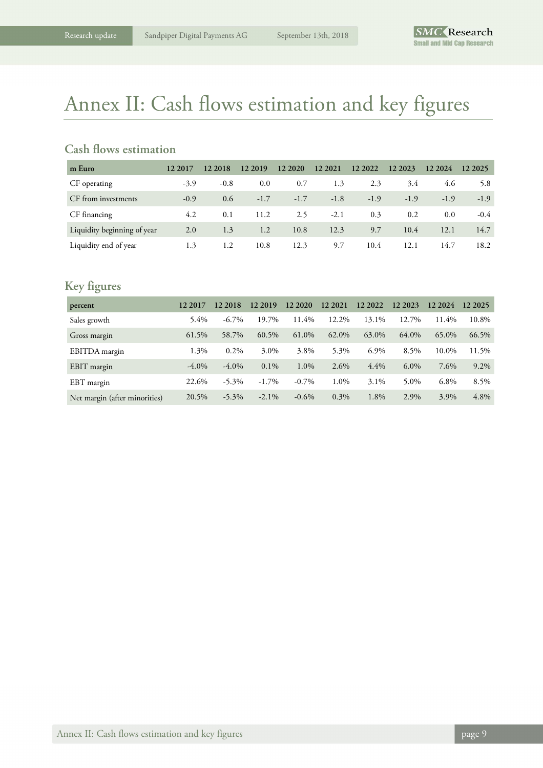### Annex II: Cash flows estimation and key figures

### **Cash flows estimation**

| m Euro                      | 12 2017 | 12 2018 | 12 2019 | 12 20 20 | 12 2021 | 12 2022 | 12 2023 | 12 2024 | 12 2025 |
|-----------------------------|---------|---------|---------|----------|---------|---------|---------|---------|---------|
| CF operating                | $-3.9$  | $-0.8$  | 0.0     | 0.7      | 1.3     | 2.3     | 3.4     | 4.6     | 5.8     |
| CF from investments         | $-0.9$  | 0.6     | $-1.7$  | $-1.7$   | $-1.8$  | $-1.9$  | $-1.9$  | $-1.9$  | $-1.9$  |
| CF financing                | 4.2     | 0.1     | 11.2    | 2.5      | $-2.1$  | 0.3     | 0.2     | 0.0     | $-0.4$  |
| Liquidity beginning of year | 2.0     | 1.3     | 1.2     | 10.8     | 12.3    | 9.7     | 10.4    | 12.1    | 14.7    |
| Liquidity end of year       | 1.3     | 1.2     | 10.8    | 12.3     | 9.7     | 10.4    | 12.1    | 14.7    | 18.2    |

### **Key figures**

| percent                       | 12 2017  | 12 2018  | 12 2019  | 12 20 20 | 12 2021 | 12 2022 | 12 2023 | 12 2024 | 12 20 25 |
|-------------------------------|----------|----------|----------|----------|---------|---------|---------|---------|----------|
| Sales growth                  | 5.4%     | $-6.7\%$ | 19.7%    | 11.4%    | 12.2%   | 13.1%   | 12.7%   | 11.4%   | 10.8%    |
| Gross margin                  | 61.5%    | 58.7%    | 60.5%    | 61.0%    | 62.0%   | 63.0%   | 64.0%   | 65.0%   | 66.5%    |
| EBITDA margin                 | 1.3%     | $0.2\%$  | 3.0%     | 3.8%     | 5.3%    | 6.9%    | 8.5%    | 10.0%   | 11.5%    |
| EBIT margin                   | $-4.0\%$ | $-4.0\%$ | $0.1\%$  | 1.0%     | $2.6\%$ | 4.4%    | $6.0\%$ | 7.6%    | $9.2\%$  |
| EBT margin                    | 22.6%    | $-5.3\%$ | $-1.7\%$ | $-0.7\%$ | 1.0%    | 3.1%    | 5.0%    | 6.8%    | 8.5%     |
| Net margin (after minorities) | 20.5%    | $-5.3\%$ | $-2.1\%$ | $-0.6\%$ | $0.3\%$ | 1.8%    | 2.9%    | 3.9%    | 4.8%     |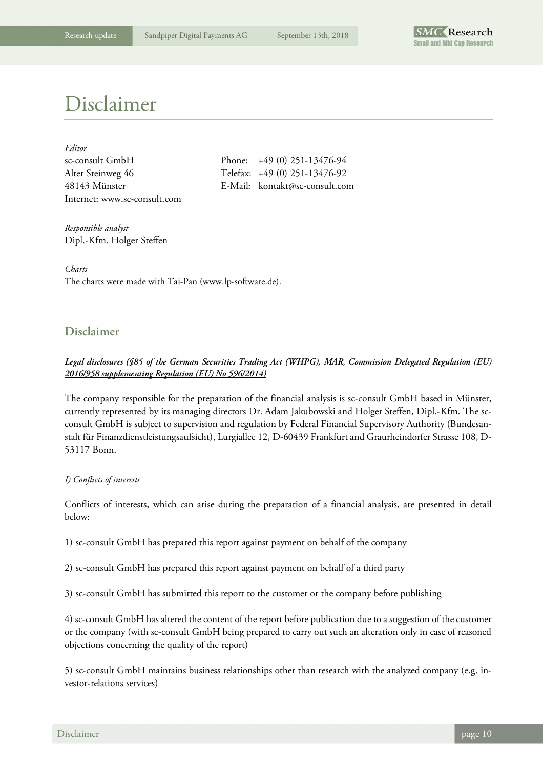

### Disclaimer

| Editor                       |
|------------------------------|
| sc-consult GmbH              |
| Alter Steinweg 46            |
| 48143 Münster                |
| Internet: www.sc-consult.com |

Phone:  $+49 (0) 251-13476-94$ Telefax: +49 (0) 251-13476-92 E-Mail: kontakt@sc-consult.com

*Responsible analyst*  Dipl.-Kfm. Holger Steffen

*Charts*  The charts were made with Tai-Pan (www.lp-software.de).

### **Disclaimer**

### *Legal disclosures (§85 of the German Securities Trading Act (WHPG), MAR, Commission Delegated Regulation (EU) 2016/958 supplementing Regulation (EU) No 596/2014)*

The company responsible for the preparation of the financial analysis is sc-consult GmbH based in Münster, currently represented by its managing directors Dr. Adam Jakubowski and Holger Steffen, Dipl.-Kfm. The scconsult GmbH is subject to supervision and regulation by Federal Financial Supervisory Authority (Bundesanstalt für Finanzdienstleistungsaufsicht), Lurgiallee 12, D-60439 Frankfurt and Graurheindorfer Strasse 108, D-53117 Bonn.

#### *I) Conflicts of interests*

Conflicts of interests, which can arise during the preparation of a financial analysis, are presented in detail below:

1) sc-consult GmbH has prepared this report against payment on behalf of the company

2) sc-consult GmbH has prepared this report against payment on behalf of a third party

3) sc-consult GmbH has submitted this report to the customer or the company before publishing

4) sc-consult GmbH has altered the content of the report before publication due to a suggestion of the customer or the company (with sc-consult GmbH being prepared to carry out such an alteration only in case of reasoned objections concerning the quality of the report)

5) sc-consult GmbH maintains business relationships other than research with the analyzed company (e.g. investor-relations services)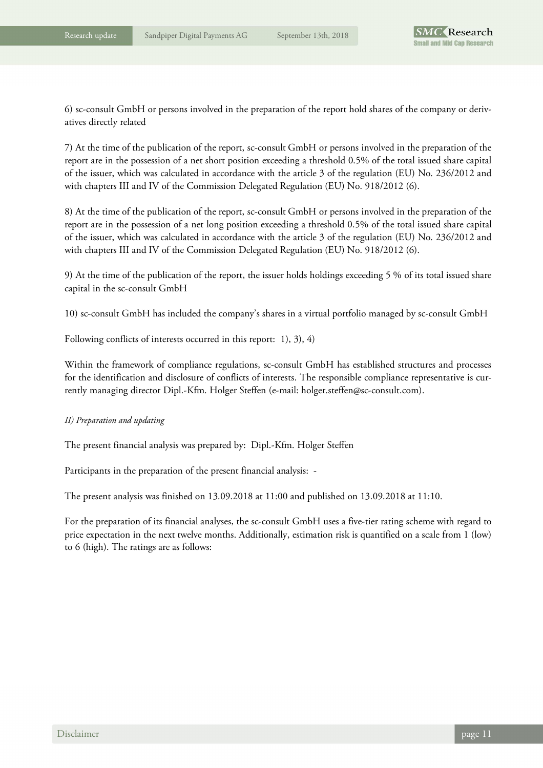6) sc-consult GmbH or persons involved in the preparation of the report hold shares of the company or derivatives directly related

7) At the time of the publication of the report, sc-consult GmbH or persons involved in the preparation of the report are in the possession of a net short position exceeding a threshold 0.5% of the total issued share capital of the issuer, which was calculated in accordance with the article 3 of the regulation (EU) No. 236/2012 and with chapters III and IV of the Commission Delegated Regulation (EU) No. 918/2012 (6).

8) At the time of the publication of the report, sc-consult GmbH or persons involved in the preparation of the report are in the possession of a net long position exceeding a threshold 0.5% of the total issued share capital of the issuer, which was calculated in accordance with the article 3 of the regulation (EU) No. 236/2012 and with chapters III and IV of the Commission Delegated Regulation (EU) No. 918/2012 (6).

9) At the time of the publication of the report, the issuer holds holdings exceeding 5 % of its total issued share capital in the sc-consult GmbH

10) sc-consult GmbH has included the company's shares in a virtual portfolio managed by sc-consult GmbH

Following conflicts of interests occurred in this report: 1), 3), 4)

Within the framework of compliance regulations, sc-consult GmbH has established structures and processes for the identification and disclosure of conflicts of interests. The responsible compliance representative is currently managing director Dipl.-Kfm. Holger Steffen (e-mail: holger.steffen@sc-consult.com).

#### *II) Preparation and updating*

The present financial analysis was prepared by: Dipl.-Kfm. Holger Steffen

Participants in the preparation of the present financial analysis: -

The present analysis was finished on 13.09.2018 at 11:00 and published on 13.09.2018 at 11:10.

For the preparation of its financial analyses, the sc-consult GmbH uses a five-tier rating scheme with regard to price expectation in the next twelve months. Additionally, estimation risk is quantified on a scale from 1 (low) to 6 (high). The ratings are as follows: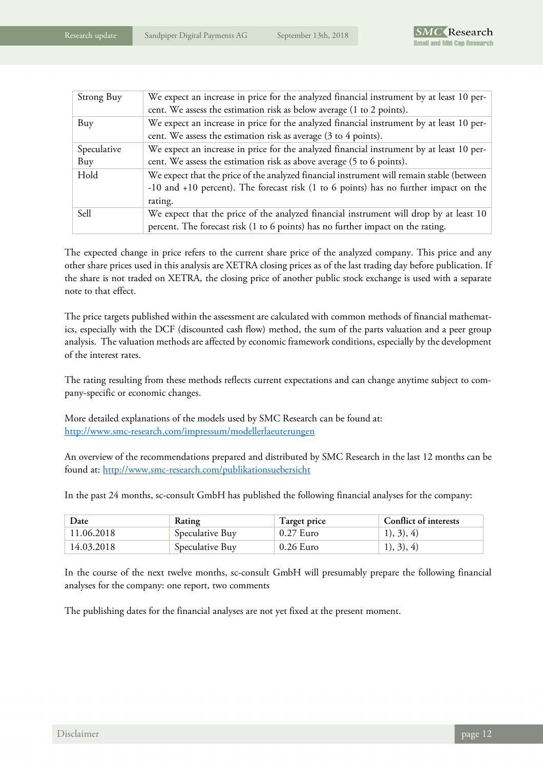| Strong Buy  | We expect an increase in price for the analyzed financial instrument by at least 10 per-<br>cent. We assess the estimation risk as below average (1 to 2 points). |
|-------------|-------------------------------------------------------------------------------------------------------------------------------------------------------------------|
| Buy         | We expect an increase in price for the analyzed financial instrument by at least 10 per-                                                                          |
|             | cent. We assess the estimation risk as average (3 to 4 points).                                                                                                   |
| Speculative | We expect an increase in price for the analyzed financial instrument by at least 10 per-                                                                          |
| Buy         | cent. We assess the estimation risk as above average (5 to 6 points).                                                                                             |
| Hold        | We expect that the price of the analyzed financial instrument will remain stable (between                                                                         |
|             | -10 and +10 percent). The forecast risk (1 to 6 points) has no further impact on the                                                                              |
|             | rating.                                                                                                                                                           |
| Sell        | We expect that the price of the analyzed financial instrument will drop by at least 10                                                                            |
|             | percent. The forecast risk (1 to 6 points) has no further impact on the rating.                                                                                   |

The expected change in price refers to the current share price of the analyzed company. This price and any other share prices used in this analysis are XETRA closing prices as of the last trading day before publication. If the share is not traded on XETRA, the closing price of another public stock exchange is used with a separate note to that effect.

The price targets published within the assessment are calculated with common methods of financial mathematics, especially with the DCF (discounted cash flow) method, the sum of the parts valuation and a peer group analysis. The valuation methods are affected by economic framework conditions, especially by the development of the interest rates.

The rating resulting from these methods reflects current expectations and can change anytime subject to company-specific or economic changes.

More detailed explanations of the models used by SMC Research can be found at: http://www.smc-research.com/impressum/modellerlaeuterungen

An overview of the recommendations prepared and distributed by SMC Research in the last 12 months can be found at: http://www.smc-research.com/publikationsuebersicht

In the past 24 months, sc-consult GmbH has published the following financial analyses for the company:

| Date       | <b>Rating</b>   | Target price | Conflict of interests |
|------------|-----------------|--------------|-----------------------|
| 11.06.2018 | Speculative Buy | $0.27$ Euro  | 1), 3), 4)            |
| 14.03.2018 | Speculative Buy | 0.26 Euro    | 1), 3), 4)            |

In the course of the next twelve months, sc-consult GmbH will presumably prepare the following financial analyses for the company: one report, two comments

The publishing dates for the financial analyses are not yet fixed at the present moment.